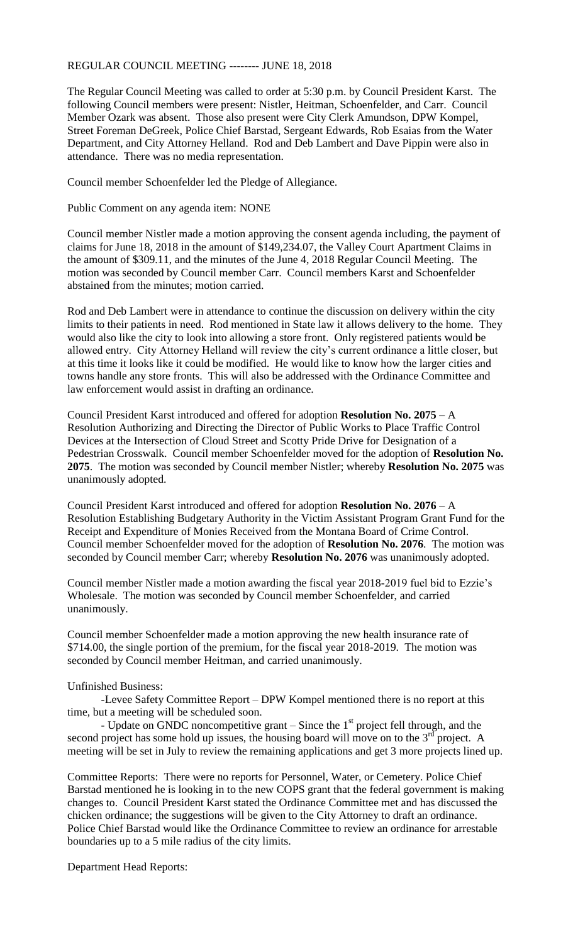## REGULAR COUNCIL MEETING -------- JUNE 18, 2018

The Regular Council Meeting was called to order at 5:30 p.m. by Council President Karst. The following Council members were present: Nistler, Heitman, Schoenfelder, and Carr. Council Member Ozark was absent. Those also present were City Clerk Amundson, DPW Kompel, Street Foreman DeGreek, Police Chief Barstad, Sergeant Edwards, Rob Esaias from the Water Department, and City Attorney Helland. Rod and Deb Lambert and Dave Pippin were also in attendance. There was no media representation.

Council member Schoenfelder led the Pledge of Allegiance.

Public Comment on any agenda item: NONE

Council member Nistler made a motion approving the consent agenda including, the payment of claims for June 18, 2018 in the amount of \$149,234.07, the Valley Court Apartment Claims in the amount of \$309.11, and the minutes of the June 4, 2018 Regular Council Meeting. The motion was seconded by Council member Carr. Council members Karst and Schoenfelder abstained from the minutes; motion carried.

Rod and Deb Lambert were in attendance to continue the discussion on delivery within the city limits to their patients in need. Rod mentioned in State law it allows delivery to the home. They would also like the city to look into allowing a store front. Only registered patients would be allowed entry. City Attorney Helland will review the city's current ordinance a little closer, but at this time it looks like it could be modified. He would like to know how the larger cities and towns handle any store fronts. This will also be addressed with the Ordinance Committee and law enforcement would assist in drafting an ordinance.

Council President Karst introduced and offered for adoption **Resolution No. 2075** – A Resolution Authorizing and Directing the Director of Public Works to Place Traffic Control Devices at the Intersection of Cloud Street and Scotty Pride Drive for Designation of a Pedestrian Crosswalk. Council member Schoenfelder moved for the adoption of **Resolution No. 2075**. The motion was seconded by Council member Nistler; whereby **Resolution No. 2075** was unanimously adopted.

Council President Karst introduced and offered for adoption **Resolution No. 2076** – A Resolution Establishing Budgetary Authority in the Victim Assistant Program Grant Fund for the Receipt and Expenditure of Monies Received from the Montana Board of Crime Control. Council member Schoenfelder moved for the adoption of **Resolution No. 2076**. The motion was seconded by Council member Carr; whereby **Resolution No. 2076** was unanimously adopted.

Council member Nistler made a motion awarding the fiscal year 2018-2019 fuel bid to Ezzie's Wholesale. The motion was seconded by Council member Schoenfelder, and carried unanimously.

Council member Schoenfelder made a motion approving the new health insurance rate of \$714.00, the single portion of the premium, for the fiscal year 2018-2019. The motion was seconded by Council member Heitman, and carried unanimously.

## Unfinished Business:

-Levee Safety Committee Report – DPW Kompel mentioned there is no report at this time, but a meeting will be scheduled soon.

- Update on GNDC noncompetitive grant – Since the  $1<sup>st</sup>$  project fell through, and the second project has some hold up issues, the housing board will move on to the  $3<sup>rd</sup>$  project. A meeting will be set in July to review the remaining applications and get 3 more projects lined up.

Committee Reports: There were no reports for Personnel, Water, or Cemetery. Police Chief Barstad mentioned he is looking in to the new COPS grant that the federal government is making changes to. Council President Karst stated the Ordinance Committee met and has discussed the chicken ordinance; the suggestions will be given to the City Attorney to draft an ordinance. Police Chief Barstad would like the Ordinance Committee to review an ordinance for arrestable boundaries up to a 5 mile radius of the city limits.

Department Head Reports: